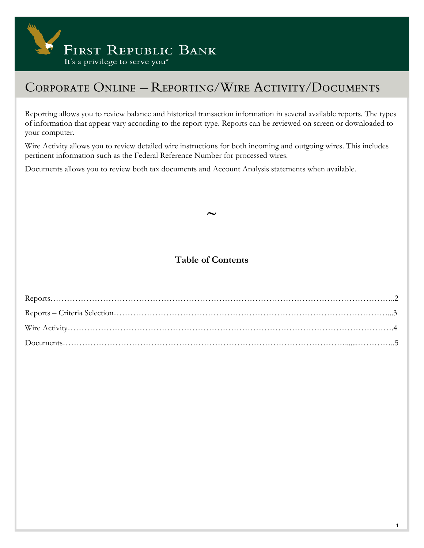

Reporting allows you to review balance and historical transaction information in several available reports. The types of information that appear vary according to the report type. Reports can be reviewed on screen or downloaded to your computer.

Wire Activity allows you to review detailed wire instructions for both incoming and outgoing wires. This includes pertinent information such as the Federal Reference Number for processed wires.

Documents allows you to review both tax documents and Account Analysis statements when available.

### **Table of Contents**

**~**

Reports……………………………………………………………………………………………………………..2 Reports – Criteria Selection………………………………………………………………………………………...3 Wire Activity……………………………………………………………………………………………………….4 Documents………………………………………………………………………………………….......…………..5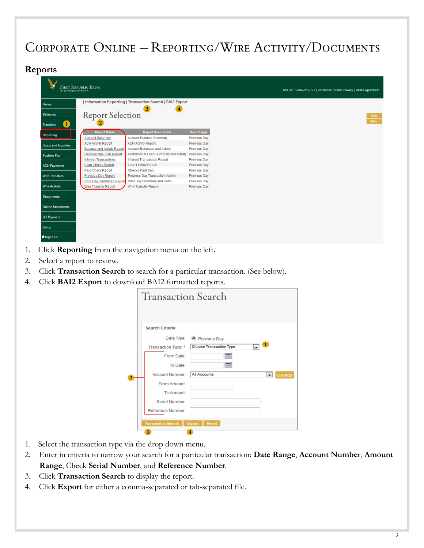#### **Reports**

| It's a privilege to serve you *  | <b>FIRST REPUBLIC BANK</b>         |                                                          |                     |
|----------------------------------|------------------------------------|----------------------------------------------------------|---------------------|
| Home                             |                                    | Information Reporting   Transaction Search   BAI2 Export |                     |
| <b>Balances</b>                  | <b>Report Selection</b>            | $\mathbf{3}$                                             |                     |
| $\mathbf{1}$<br><b>Transfers</b> |                                    |                                                          |                     |
| Reporting                        | <b>Report Name</b>                 | <b>Report Description</b>                                | <b>Report Type</b>  |
|                                  | <b>Account Balances</b>            | Account Balance Summary                                  | <b>Previous Dav</b> |
| <b>Stops and Inquiries</b>       | <b>ACH Activity Report</b>         | <b>ACH Activity Report</b>                               | <b>Previous Day</b> |
|                                  | <b>Balance and Activity Report</b> | <b>Account Balances and Activity</b>                     | <b>Previous Day</b> |
| <b>Positive Pay</b>              | <b>Commercial Loan Report</b>      | Commercial Loan Summary and Activity                     | <b>Previous Day</b> |
|                                  | <b>Interest Transactions</b>       | <b>Interest Transaction Report</b>                       | <b>Previous Day</b> |
| <b>ACH Payments</b>              | <b>Loan History Report</b>         | <b>Loan History Report</b>                               | <b>Previous Day</b> |
|                                  | <b>Paid Check Report</b>           | <b>Checks Paid Only</b>                                  | <b>Previous Day</b> |
| <b>Wire Transfers</b>            | <b>Previous Day Report</b>         | Previous Day Transaction Activity                        | <b>Previous Day</b> |
|                                  | <b>Prior Day Combined Report</b>   | Prior Day Summary and Detail                             | Previous Day        |
| <b>Wire Activity</b>             | <b>Wire Transfer Report</b>        | Wire Transfer Report                                     | <b>Previous Day</b> |
|                                  |                                    |                                                          |                     |
| <b>Documents</b>                 |                                    |                                                          |                     |
| <b>Online Statements</b>         |                                    |                                                          |                     |
|                                  |                                    |                                                          |                     |
| <b>Bill Payment</b>              |                                    |                                                          |                     |
| Setup                            |                                    |                                                          |                     |
| <b>a</b> Sign Out                |                                    |                                                          |                     |
|                                  |                                    |                                                          |                     |

- 1. Click **Reporting** from the navigation menu on the left.
- 2. Select a report to review.
- 3. Click **Transaction Search** to search for a particular transaction. (See below).
- 4. Click **BAI2 Export** to download BAI2 formatted reports.

| <b>O</b> Previous Day   |                                    |
|-------------------------|------------------------------------|
| Choose Transaction Type | $\mathbf{1}$                       |
| um                      |                                    |
|                         |                                    |
| All Accounts            | Lookup<br>$\overline{\phantom{a}}$ |
|                         |                                    |
|                         |                                    |
|                         |                                    |
|                         |                                    |
|                         | <b>Transaction Search</b>          |

- 1. Select the transaction type via the drop down menu.
- 2. Enter in criteria to narrow your search for a particular transaction: **Date Range**, **Account Number**, **Amount Range**, Check **Serial Number**, and **Reference Number**.
- 3. Click **Transaction Search** to display the report.
- 4. Click **Export** for either a comma-separated or tab-separated file.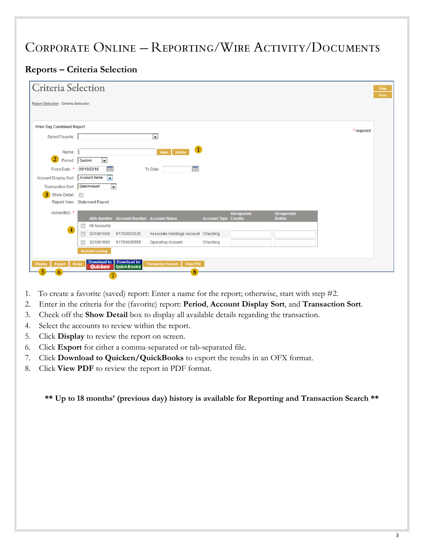### **Reports – Criteria Selection**

| Criteria Selection                   |                                                             |                                               |                                                   |                             |                   |                                    |            |
|--------------------------------------|-------------------------------------------------------------|-----------------------------------------------|---------------------------------------------------|-----------------------------|-------------------|------------------------------------|------------|
| Report Selection: Criteria Selection |                                                             |                                               |                                                   |                             |                   |                                    |            |
|                                      |                                                             |                                               |                                                   |                             |                   |                                    |            |
| <b>Prior Day Combined Report</b>     |                                                             |                                               |                                                   |                             |                   |                                    | * required |
| Select Favorite:                     |                                                             |                                               | $\blacksquare$                                    |                             |                   |                                    |            |
| Name:                                |                                                             |                                               | $\mathbf{1}$<br>Save<br><b>Delete</b>             |                             |                   |                                    |            |
| $\overline{2}$<br>Period:            | <b>Custom</b><br>$\vert \cdot \vert$                        |                                               |                                                   |                             |                   |                                    |            |
| From Date: *                         | $\boxed{m}$<br>09/19/2016                                   |                                               | E<br>To Date:                                     |                             |                   |                                    |            |
| Account Display Sort: Account Name   | le.                                                         |                                               |                                                   |                             |                   |                                    |            |
| Transaction Sort: Date/Amount        | $\overline{\phantom{0}}$                                    |                                               |                                                   |                             |                   |                                    |            |
| 3 Show Detail:                       |                                                             |                                               |                                                   |                             |                   |                                    |            |
|                                      | Report View: Statement Report                               |                                               |                                                   |                             |                   |                                    |            |
| Account(s): *                        |                                                             | <b>ABA Number Account Number Account Name</b> |                                                   | <b>Account Type Credits</b> | <b>Unreported</b> | <b>Unreported</b><br><b>Debits</b> |            |
|                                      | $\Box$<br><b>All Accounts</b>                               |                                               |                                                   |                             |                   |                                    |            |
| $\overline{4}$                       | 321081669<br>m                                              | 91700003535                                   | Associate Holdings Account Checking               |                             |                   |                                    |            |
|                                      | 321081669<br>П                                              | 91700005555                                   | <b>Operating Account</b>                          | Checking                    |                   |                                    |            |
|                                      | <b>Account Lookup</b>                                       |                                               |                                                   |                             |                   |                                    |            |
|                                      |                                                             |                                               |                                                   |                             |                   |                                    |            |
| Export<br><b>Display</b>             | <b>Download to Download to Quicken</b> QuickBooks'<br>Reset | QuickBooks'                                   | <b>Transaction Search</b><br><b>View PDF</b><br>8 |                             |                   |                                    |            |

- 1. To create a favorite (saved) report: Enter a name for the report; otherwise, start with step #2.
- 2. Enter in the criteria for the (favorite) report: **Period**, **Account Display Sort**, and **Transaction Sort**.
- 3. Check off the **Show Detail** box to display all available details regarding the transaction.
- 4. Select the accounts to review within the report.
- 5. Click **Display** to review the report on screen.
- 6. Click **Export** for either a comma-separated or tab-separated file.
- 7. Click **Download to Quicken/QuickBooks** to export the results in an OFX format.
- 8. Click **View PDF** to review the report in PDF format.

**\*\* Up to 18 months' (previous day) history is available for Reporting and Transaction Search \*\***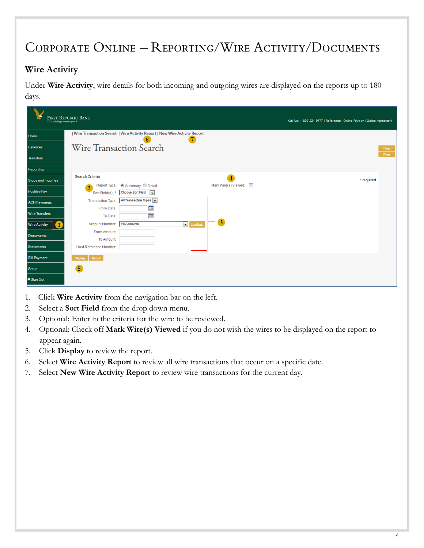### **Wire Activity**

Under **Wire Activity**, wire details for both incoming and outgoing wires are displayed on the reports up to 180 days.

| It's a privilege to serve you ® | <b>FIRST REPUBLIC BANK</b>                         |                                                                           |                 |                      | Call Us: 1-800-221-9777   Reference   Online Privacy   Online Agreement |       |
|---------------------------------|----------------------------------------------------|---------------------------------------------------------------------------|-----------------|----------------------|-------------------------------------------------------------------------|-------|
| Home                            |                                                    | Wire Transaction Search   Wire Activity Report   New Wire Activity Report |                 |                      |                                                                         |       |
| Balances                        | Wire Transaction Search                            |                                                                           |                 |                      |                                                                         | Help  |
| Transfers                       |                                                    |                                                                           |                 |                      |                                                                         | Print |
| Reporting                       |                                                    |                                                                           |                 |                      |                                                                         |       |
| <b>Stops and Inquiries</b>      | <b>Search Criteria</b>                             |                                                                           |                 | $\overline{4}$       | * required                                                              |       |
| <b>Positive Pay</b>             | Report Type:<br>$\overline{2}$<br>Sort Field(s): * | Summary Detail<br><b>Choose Sort Field</b><br>$\overline{ }$              |                 | Mark Wire(s) Viewed: |                                                                         |       |
| <b>ACH Payments</b>             | <b>Transaction Type:</b>                           | All Transaction Types                                                     |                 |                      |                                                                         |       |
| <b>Wire Transfers</b>           | From Date:<br>To Date:                             | $\boxed{m}$<br>$\blacksquare$                                             |                 |                      |                                                                         |       |
| <b>Wire Activity</b>            | Account Number:                                    | <b>All Accounts</b>                                                       | <b>D</b> Lookup | 3                    |                                                                         |       |
| Documents                       | From Amount:                                       |                                                                           |                 |                      |                                                                         |       |
| Statements                      | To Amount:<br>Host Reference Number:               |                                                                           |                 |                      |                                                                         |       |
| <b>Bill Payment</b>             | Reset<br><b>Display</b>                            |                                                                           |                 |                      |                                                                         |       |
| Setup                           | $\overline{5}$                                     |                                                                           |                 |                      |                                                                         |       |
| <b>a</b> Sign Out               |                                                    |                                                                           |                 |                      |                                                                         |       |

- 1. Click **Wire Activity** from the navigation bar on the left.
- 2. Select a **Sort Field** from the drop down menu.
- 3. Optional: Enter in the criteria for the wire to be reviewed.
- 4. Optional: Check off **Mark Wire(s) Viewed** if you do not wish the wires to be displayed on the report to appear again.
- 5. Click **Display** to review the report.
- 6. Select **Wire Activity Report** to review all wire transactions that occur on a specific date.
- 7. Select **New Wire Activity Report** to review wire transactions for the current day.